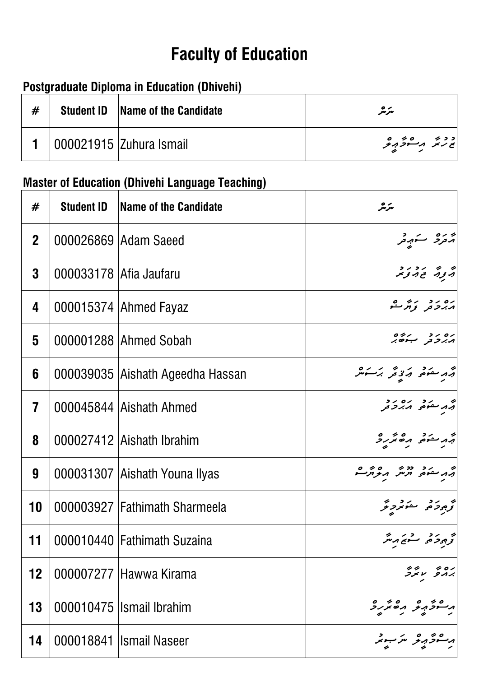# **Faculty of Education**

### **Postgraduate Diploma in Education (Dhivehi)**

| # | <b>Student ID</b> | <b>Name of the Candidate</b> | سرمر             |
|---|-------------------|------------------------------|------------------|
|   |                   | 000021915   Zuhura Ismail    | د د بر مرد و د و |

# **Master of Education (Dhivehi Language Teaching)**

| #                       | <b>Student ID</b>      | Name of the Candidate            | سرمر                                             |
|-------------------------|------------------------|----------------------------------|--------------------------------------------------|
| 2 <sup>1</sup>          |                        | 000026869   Adam Saeed           | جروحا ستهبقر                                     |
| 3                       | 000033178 Afia Jaufaru |                                  | پر پر در در<br>پر بوټر محمد توجر                 |
| 4                       |                        | 000015374 Ahmed Fayaz            | ره رو پرول<br>גرح <sub>افر تو</sub> مرے          |
| $\overline{\mathbf{5}}$ |                        | 000001288 Ahmed Sobah            | ره رو در دره<br>۱ <i>۸. ب</i> رحو ب              |
| 6                       |                        | 000039035 Aishath Ageedha Hassan | ېرمنوم برزېځر برخش                               |
| $\overline{\mathbf{7}}$ |                        | 000045844 Aishath Ahmed          | ام در ده ده د د<br>ابرا سنومی ا <i>ز بر</i> حافر |
| 8                       |                        | 000027412 Aishath Ibrahim        | م من من من من من المسلم من من من المسلم و        |
| 9                       |                        | 000031307 Aishath Youna Ilyas    |                                                  |
| 10                      |                        | 000003927 Fathimath Sharmeela    | تحجيج وحريد وتحرير                               |
| 11                      |                        | 000010440 Fathimath Suzaina      | تح جوحر حرم مسموسر متر                           |
| 12                      |                        | 000007277 Hawwa Kirama           |                                                  |
| 13                      |                        | 000010475 Ismail Ibrahim         |                                                  |
| 14                      |                        | 000018841 Ismail Naseer          | سوذرير متزبيد                                    |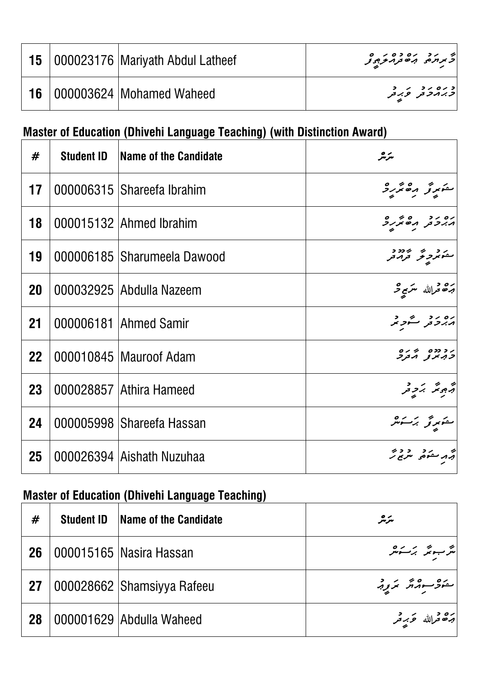|  | 15   000023176   Mariyath Abdul Latheef | د د د ده ده د ه                      |
|--|-----------------------------------------|--------------------------------------|
|  | <b>16</b>   000003624   Mohamed Waheed  | د ره ر د<br>  <i>د بر مر د بر</i> تر |

## **Master of Education (Dhivehi Language Teaching) (with Distinction Award)**

| #         | <b>Student ID</b> | Name of the Candidate       | سرمر                                       |
|-----------|-------------------|-----------------------------|--------------------------------------------|
| 17        |                   | 000006315 Shareefa Ibrahim  | متوبرتر مقترره                             |
| 18        |                   | 000015132 Ahmed Ibrahim     | ים יד סידים<br>גיבת הסיציב                 |
| 19        |                   | 000006185 Sharumeela Dawood | مشور به ۱۶۶۶ و.<br>مشو <i>نز بر تور</i> مر |
| 20        |                   | 000032925 Abdulla Nazeem    | جرة قرالله متزبر فر                        |
| 21        |                   | 000006181 Ahmed Samir       | ره رو گرد و                                |
| <b>22</b> |                   | 000010845 Mauroof Adam      | ر د دده پې ره<br><i>د بر</i> بر بر بر      |
| 23        |                   | 000028857 Athira Hameed     | اپر پر پر در<br>ابروپر برد تر              |
| 24        |                   | 000005998 Shareefa Hassan   | ىمۇرۇ برگىر                                |
| 25        |                   | 000026394 Aishath Nuzuhaa   | بر د سکوه مسرح بر<br>برد سکوه مسرح بر      |

## **Master of Education (Dhivehi Language Teaching)**

| #  | <b>Student ID</b> | Name of the Candidate      | سرمر                                                                                                                                                                                                                           |
|----|-------------------|----------------------------|--------------------------------------------------------------------------------------------------------------------------------------------------------------------------------------------------------------------------------|
| 26 |                   | 000015165 Nasira Hassan    | مَرْ سِوتَر بَرَ سَوْسَر                                                                                                                                                                                                       |
| 27 |                   | 000028662 Shamsiyya Rafeeu | $\left  \begin{array}{c} \circ & \circ & \circ & \circ \\ \circ & \circ & \circ & \circ \end{array} \right $                                                                                                                   |
| 28 |                   | 000001629 Abdulla Waheed   | بره د په د د کلی د کلی استفاده کلی استفاده کلی استفاده کلی به دست کلی استفاده کلی استفاده کلی استفاده کلیک ا<br>  ابراه محرک استفاده کلیک استفاده کلیک استفاده کلیک استفاده کلیک استفاده کلیک استفاده کلیک استفاده کلیک استفاد |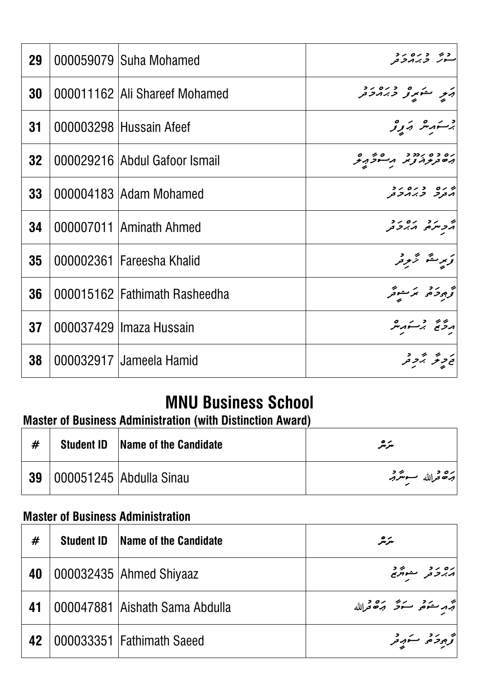| 29              | 000059079 Suha Mohamed          | コノ ロノ コ  クコ<br>ゴ <i>フハノフ ノマ</i> ー             |
|-----------------|---------------------------------|-----------------------------------------------|
| 30              | 000011162   Ali Shareef Mohamed |                                               |
| 31              | 000003298 Hussain Afeef         | وسنهدش وكالمحافر تو                           |
| 32 <sub>2</sub> | 000029216 Abdul Gafoor Ismail   | ره ده بردد د همه ه<br>به مرد در د بر مرد برگر |
| 33              | 000004183 Adam Mohamed          | ש נים נים ניב<br>גבק כ.ג.מכבק                 |
| 34              | 000007011 Aminath Ahmed         | ת גר גם גר<br>גריתים גיגרת                    |
| 35              | 000002361 Fareesha Khalid       | تربر متم تزبر د                               |
| 36              | 000015162 Fathimath Rasheedha   | تح و د د که سوتر                              |
| 37              | 000037429 Ilmaza Hussain        | درسم برستهر شر                                |
| 38              | 000032917 Jameela Hamid         | ر د بر د<br>نح تر قر بر تر تر                 |

### **Master of Business Administration (with Distinction Award)**

|  | <b>Student ID</b> Name of the Candidate | سرچر                          |
|--|-----------------------------------------|-------------------------------|
|  | <b>39</b>   000051245   Abdulla Sinau   | بره د <sub>الله</sub> ب محرمه |

#### **Master of Business Administration**

| <b>MNU Business School</b><br><b>Master of Business Administration (with Distinction Award)</b> |                   |                                          |                            |
|-------------------------------------------------------------------------------------------------|-------------------|------------------------------------------|----------------------------|
| #                                                                                               | <b>Student ID</b> | <b>Name of the Candidate</b>             | سرمر                       |
| 39                                                                                              |                   | 000051245   Abdulla Sinau                | برقة فرالله سونترقه        |
|                                                                                                 |                   | <b>Master of Business Administration</b> |                            |
| #                                                                                               |                   | <b>Student ID</b> Name of the Candidate  | سرمر                       |
| 40                                                                                              |                   | 000032435 Ahmed Shiyaaz                  | ים יד הייך<br>גיבת המתי    |
| 41                                                                                              |                   | 000047881 Aishath Sama Abdulla           | مجرم حكم و سكون مره و الله |
|                                                                                                 |                   | <b>42</b>   000033351   Fathimath Saeed  | تجمع بحرقه ستوجر           |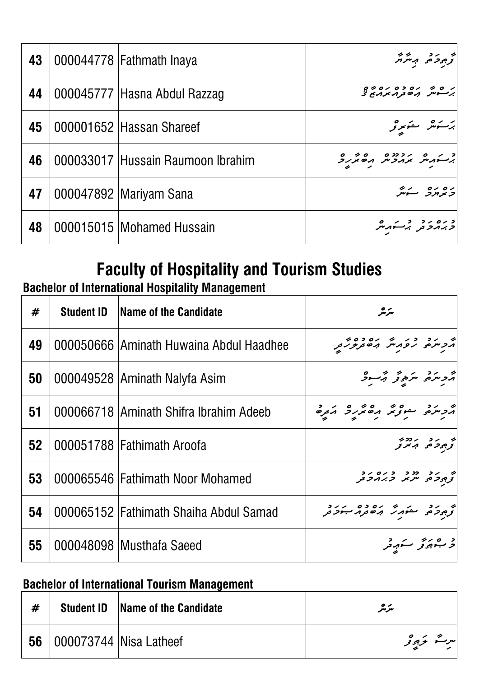| 43 | 000044778   Fathmath Inaya        | توجود حد مستر م                                   |
|----|-----------------------------------|---------------------------------------------------|
| 44 | 000045777  Hasna Abdul Razzag     | بر ۵ بره ده بره په و<br>  بر سوس بره تر ۱۸ بر برغ |
| 45 | 000001652  Hassan Shareef         | برسكوهر مسكوبو                                    |
| 46 | 000033017 Hussain Raumoon Ibrahim | د من مرد ده ده ده بر ده در د                      |
| 47 | 000047892  Mariyam Sana           | ره ره په پ                                        |
| 48 | 000015015   Mohamed Hussain       | دره در در مرد<br>  دبر مرد برسنه مرد              |

# **Bachelor of International Hospitality Management**

|    | <b>Faculty of Hospitality and Tourism Studies</b><br><b>Bachelor of International Hospitality Management</b> |                                                     |                                                          |  |  |
|----|--------------------------------------------------------------------------------------------------------------|-----------------------------------------------------|----------------------------------------------------------|--|--|
| #  | <b>Student ID</b>                                                                                            | Name of the Candidate                               | سرچر                                                     |  |  |
| 49 |                                                                                                              | 000050666 Aminath Huwaina Abdul Haadhee             | מ קר כן מן קסכסים<br>הקייקים קפאניית הסתקקפ <sub>ת</sub> |  |  |
| 50 |                                                                                                              | 000049528 Aminath Nalyfa Asim                       | أرجاحهم متره ومحمد وكبسود                                |  |  |
| 51 |                                                                                                              | 000066718 Aminath Shifra Ibrahim Adeeb              | הכתם בינה הסתיכ הבכ                                      |  |  |
| 52 |                                                                                                              | 000051788 Fathimath Aroofa                          | י גב גדבי.<br>צַפְרַס, הִדוֹבָ                           |  |  |
| 53 |                                                                                                              | 000065546   Fathimath Noor Mohamed                  | י גר נכנ כגום גר.<br>- 3,459 ייניאג <i>ב.ג</i> ונפת      |  |  |
| 54 |                                                                                                              | 000065152 Fathimath Shaiha Abdul Samad              | و دو مشهر وه ده درد و<br>توجودهی مشهر برخور جود          |  |  |
| 55 |                                                                                                              | 000048098 Musthafa Saeed                            | د ۱۰۰۰ مرکز در د                                         |  |  |
|    |                                                                                                              | <b>Bachelor of International Tourism Management</b> |                                                          |  |  |
| #  | <b>Student ID</b>                                                                                            | Name of the Candidate                               | مترمگر                                                   |  |  |
| 56 |                                                                                                              | 000073744 Nisa Latheef                              | سرت کرد تو                                               |  |  |

#### **Bachelor of International Tourism Management**

| # |                                      | <b>Student ID</b> Name of the Candidate | سرمر       |
|---|--------------------------------------|-----------------------------------------|------------|
|   | <b>56</b>   000073744   Nisa Latheef |                                         | سرت نرجوتو |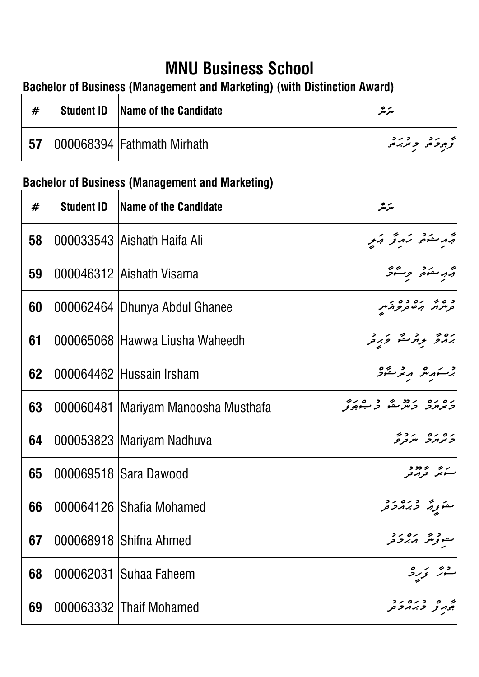### **Bachelor of Business (Management and Marketing) (with Distinction Award)**

| #  | <b>Student ID</b> | <b>Name of the Candidate</b> | مترمگر                     |
|----|-------------------|------------------------------|----------------------------|
| 57 |                   | 000068394 Fathmath Mirhath   | به رد درد<br>ترجود در در م |

# **Bachelor of Business (Management and Marketing)**

| <b>MNU Business School</b><br><b>Bachelor of Business (Management and Marketing) (with Distinction Award)</b> |                   |                                                        |                                                                    |  |
|---------------------------------------------------------------------------------------------------------------|-------------------|--------------------------------------------------------|--------------------------------------------------------------------|--|
| #                                                                                                             | <b>Student ID</b> | Name of the Candidate                                  | سرمر                                                               |  |
| 57                                                                                                            |                   | 000068394 Fathmath Mirhath                             | و د د د ده<br>ترجوده <i>د برب</i> ه                                |  |
|                                                                                                               |                   | <b>Bachelor of Business (Management and Marketing)</b> |                                                                    |  |
| #                                                                                                             | <b>Student ID</b> | Name of the Candidate                                  | سرمر                                                               |  |
| 58                                                                                                            |                   | 000033543 Aishath Haifa Ali                            | أيه مستوضى كروتخى أيكو                                             |  |
| 59                                                                                                            |                   | 000046312 Aishath Visama                               | أتهر حذة ومشرقر                                                    |  |
| 60                                                                                                            |                   | 000062464   Dhunya Abdul Ghanee                        | د ه به بره ده بر<br>ترسر بر به برخ بر                              |  |
| 61                                                                                                            |                   | 000065068 Hawwa Liusha Waheedh                         | ره د د د مگر ورد د                                                 |  |
| 62                                                                                                            |                   | 000064462 Hussain Irsham                               | برستهر شهر متحرقه                                                  |  |
| 63                                                                                                            |                   | 000060481 Mariyam Manoosha Musthafa                    | ים נים נדיר שנים נים.<br>באו <i>נר ב</i> ית עם ב <del>יו</del> ס צ |  |
| 64                                                                                                            |                   | 000053823 Mariyam Nadhuva                              | ים ים יידיד<br><i>כ</i> א <i>ורר</i> יי <i>ד</i> נפ                |  |
| 65                                                                                                            |                   | 000069518 Sara Dawood                                  |                                                                    |  |
| 66                                                                                                            |                   | 000064126 Shafia Mohamed                               | متورثه وره رد                                                      |  |
| 67                                                                                                            |                   | 000068918 Shifna Ahmed                                 | مموتر شرکت در د<br>مموتر شرکتر در                                  |  |
| 68                                                                                                            | 000062031         | <b>Suhaa Faheem</b>                                    |                                                                    |  |
| 69                                                                                                            |                   | 000063332 Thaif Mohamed                                | ه ه د ده د د<br>جمه تر ح بر مرحمر                                  |  |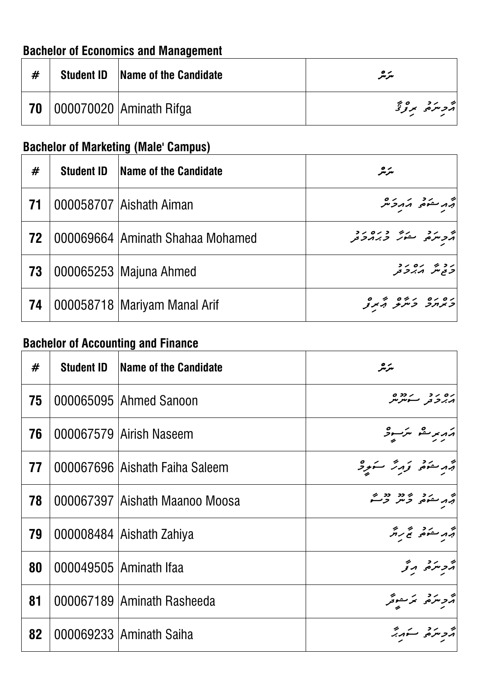### **Bachelor of Economics and Management**

| # | <b>Student ID</b> Name of the Candidate | سرمر          |
|---|-----------------------------------------|---------------|
|   | <b>70</b>   000070020   Aminath Rifga   | جر مرد معموقة |

## **Bachelor of Marketing (Male' Campus)**

| #  | <b>Student ID</b> | Name of the Candidate            | سرمر                                          |
|----|-------------------|----------------------------------|-----------------------------------------------|
| 71 |                   | 000058707 Aishath Aiman          | أتجمه مشوقه وكمركر شر                         |
| 72 |                   | 000069664 Aminath Shahaa Mohamed | ایم در در دره در د<br>مرد سرمی مشور دبر در در |
| 73 |                   | 000065253   Majuna Ahmed         | روپ ره رو<br>  <i>رح شهر حر</i>               |
| 74 |                   | 000058718   Mariyam Manal Arif   | גם גם גם גם האת צ                             |

## **Bachelor of Accounting and Finance**

| #  | <b>Student ID</b> | <b>Name of the Candidate</b>     | سرچر                                             |
|----|-------------------|----------------------------------|--------------------------------------------------|
| 75 |                   | 000065095 Ahmed Sanoon           | גם גב הגבבים<br>גגב <sub>ב ה</sub> המקט <i>ק</i> |
| 76 |                   | 000067579 Airish Naseem          | ההתבים ית-ים<br>גז                               |
| 77 |                   | 000067696 Aishath Faiha Saleem   | أقهر منعهم ودرش سنوجر                            |
| 78 |                   | 000067397   Aishath Maanoo Moosa |                                                  |
| 79 |                   | 000008484 Aishath Zahiya         | جهد سنوه نمح براثر                               |
| 80 |                   | 000049505 Aminath Ifaa           | أثر و سرقر المرتمر                               |
| 81 |                   | 000067189 Aminath Rasheeda       | أترج مردمه تمر مفوقر                             |
| 82 |                   | 000069233 Aminath Saiha          | أرد مركز سنهدر                                   |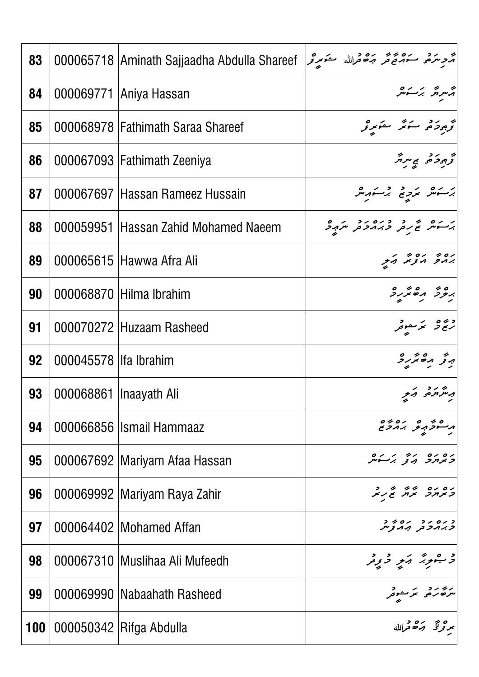| 83  |                          | 000065718 Aminath Sajjaadha Abdulla Shareef | أترج سرقته فلله والله المحتفظ المتحدث والمحمد والمحمد المحمد المحمد المحمد المحمد المحمد المحمد المح |
|-----|--------------------------|---------------------------------------------|------------------------------------------------------------------------------------------------------|
| 84  |                          | 000069771 Aniya Hassan                      | أأسرائر برسكسر                                                                                       |
| 85  |                          | 000068978 Fathimath Saraa Shareef           | توجود حرير سنور تو                                                                                   |
| 86  |                          | 000067093   Fathimath Zeeniya               | كوجردة بمسرش                                                                                         |
| 87  |                          | 000067697 Hassan Rameez Hussain             | برسكش برديع برسكه شر                                                                                 |
| 88  |                          | 000059951 Hassan Zahid Mohamed Naeem        | برسكم تم روم دوم مرجد                                                                                |
| 89  |                          | 000065615 Hawwa Afra Ali                    | יםי יםי היק                                                                                          |
| 90  |                          | 000068870 Hilma Ibrahim                     | י כל הסתיק                                                                                           |
| 91  |                          | 000070272 Huzaam Rasheed                    | دیره بر موتر                                                                                         |
| 92  | 000045578 llfa Ibrahim   |                                             | پرتو مصر کرد                                                                                         |
| 93  | 000068861   Inaayath Ali |                                             | به شهره و بر                                                                                         |
| 94  |                          | 000066856 Ismail Hammaaz                    | ەر مەزەر بەدە دە<br>مەسىردىكى بەدىرى                                                                 |
| 95  |                          | 000067692   Mariyam Afaa Hassan             | ים ים ידי יהם<br>כאחר הן גבינית                                                                      |
| 96  |                          | 000069992 Mariyam Raya Zahir                | ום ום ירי די ד<br>באחר אח שנא                                                                        |
| 97  |                          | 000064402 Mohamed Affan                     | 1 - 10 - 10 - 10<br><i>ת ג ח</i> ב ת הריצייו                                                         |
| 98  |                          | 000067310   Muslihaa Ali Mufeedh            | اد مشرد به در در در د                                                                                |
| 99  |                          | 000069990   Nabaahath Rasheed               | مرضر و مرسوم                                                                                         |
| 100 |                          | 000050342 Rifga Abdulla                     | بمرتزقتي وشكا فرالله                                                                                 |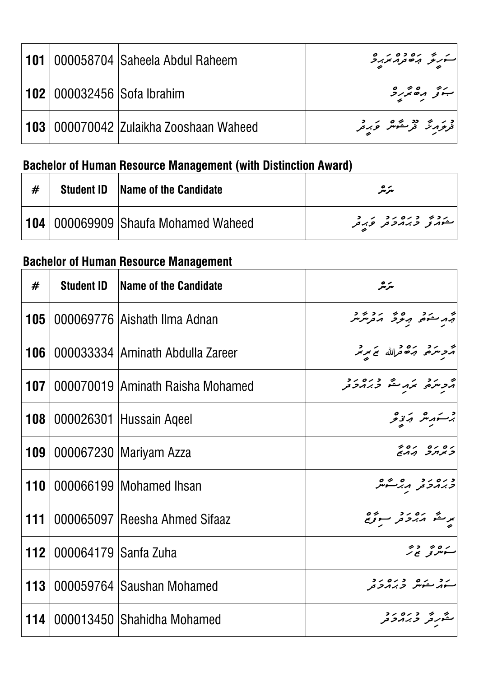|  | <b>101</b>   000058704   Saheela Abdul Raheem     | ر دیم بره ده د ه<br>سرگر برخوبر پربرد           |
|--|---------------------------------------------------|-------------------------------------------------|
|  | <b>102</b> 000032456 Sofa Ibrahim                 | 51501                                           |
|  | <b>103</b>   000070042   Zulaikha Zooshaan Waheed | د بر دو شهر و به د<br>  فرغرمرتر فرستهش و بر فر |

# **Bachelor of Human Resource Management (with Distinction Award)**

|  | <b>Student ID</b> Name of the Candidate        | سرمر                                                              |
|--|------------------------------------------------|-------------------------------------------------------------------|
|  | <b>104</b>   000069909   Shaufa Mohamed Waheed | ر د په د ده ر د د<br>استوړن <sub>و</sub> تربر <i>د تر</i> توبر تر |

## **Bachelor of Human Resource Management**

| #          |                      | <b>Student ID</b>   Name of the Candidate | سرمر                                                                                                |
|------------|----------------------|-------------------------------------------|-----------------------------------------------------------------------------------------------------|
| 105        |                      | 000069776 Aishath Ilma Adnan              | جمه منعمی مرور در در در در در استفاده برای منتشر بر در استفاده استفاده برای کنید با استفاده برای من |
| 106        |                      | 000033334 Aminath Abdulla Zareer          | جُرْحِ سَرَمُ جَنَّ جَ اللهِ بِمَ سَرِيْر                                                           |
| 107        |                      | 000070019 Aminath Raisha Mohamed          |                                                                                                     |
| <b>108</b> |                      | 000026301 Hussain Ageel                   | برستهر شه تهزیحر                                                                                    |
| 109        |                      | 000067230   Mariyam Azza                  | ים ים ים 4<br>קי <i>צורך</i> ההא                                                                    |
| 110        |                      | 000066199 Mohamed Ihsan                   | כ נים ניביים<br><i>כ ג</i> ונכ <sub>בק</sub> ו <i>גי</i> לייק                                       |
| 111        |                      | 000065097 Reesha Ahmed Sifaaz             | برنگو برورد مسوئومج                                                                                 |
| 112        | 000064179 Sanfa Zuha |                                           | ر ہ در در<br>سوسرتو ہے ر                                                                            |
| 113        |                      | 000059764 Saushan Mohamed                 | رد در ۵۶۶ ورو دو.<br>سوړ سوس د بربرو د                                                              |
| 114        |                      | 000013450 Shahidha Mohamed                | مهم و ده ده.<br>مشهر تر بر بر تر تر                                                                 |